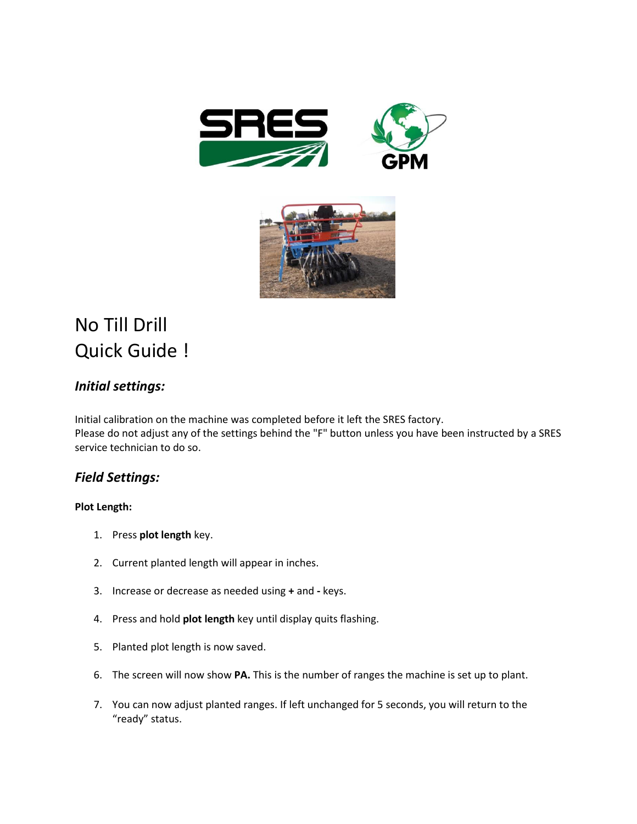



# No Till Drill Quick Guide !

## *Initial settings:*

Initial calibration on the machine was completed before it left the SRES factory. Please do not adjust any of the settings behind the "F" button unless you have been instructed by a SRES service technician to do so.

## *Field Settings:*

### **Plot Length:**

- 1. Press **plot length** key.
- 2. Current planted length will appear in inches.
- 3. Increase or decrease as needed using **+** and **-** keys.
- 4. Press and hold **plot length** key until display quits flashing.
- 5. Planted plot length is now saved.
- 6. The screen will now show **PA.** This is the number of ranges the machine is set up to plant.
- 7. You can now adjust planted ranges. If left unchanged for 5 seconds, you will return to the "ready" status.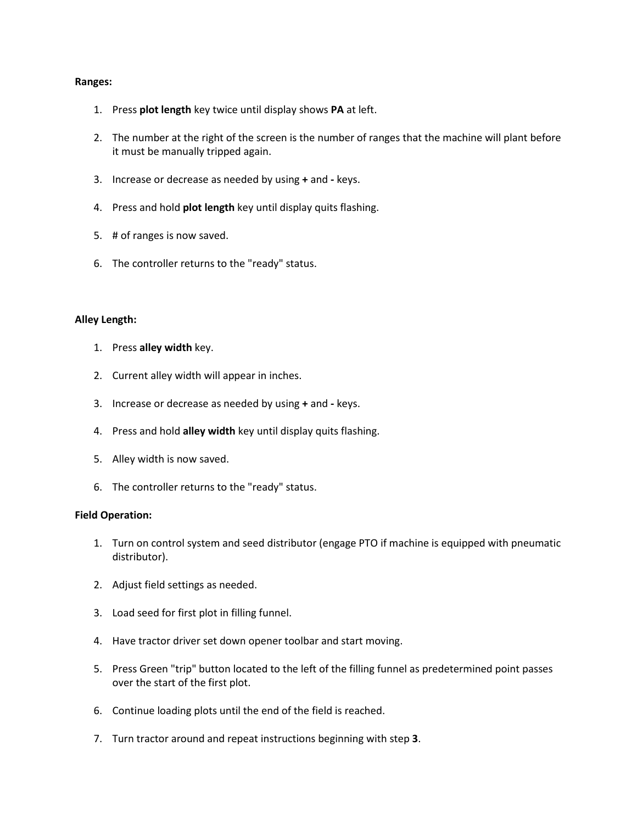#### **Ranges:**

- 1. Press **plot length** key twice until display shows **PA** at left.
- 2. The number at the right of the screen is the number of ranges that the machine will plant before it must be manually tripped again.
- 3. Increase or decrease as needed by using **+** and **-** keys.
- 4. Press and hold **plot length** key until display quits flashing.
- 5. # of ranges is now saved.
- 6. The controller returns to the "ready" status.

#### **Alley Length:**

- 1. Press **alley width** key.
- 2. Current alley width will appear in inches.
- 3. Increase or decrease as needed by using **+** and **-** keys.
- 4. Press and hold **alley width** key until display quits flashing.
- 5. Alley width is now saved.
- 6. The controller returns to the "ready" status.

#### **Field Operation:**

- 1. Turn on control system and seed distributor (engage PTO if machine is equipped with pneumatic distributor).
- 2. Adjust field settings as needed.
- 3. Load seed for first plot in filling funnel.
- 4. Have tractor driver set down opener toolbar and start moving.
- 5. Press Green "trip" button located to the left of the filling funnel as predetermined point passes over the start of the first plot.
- 6. Continue loading plots until the end of the field is reached.
- 7. Turn tractor around and repeat instructions beginning with step **3**.